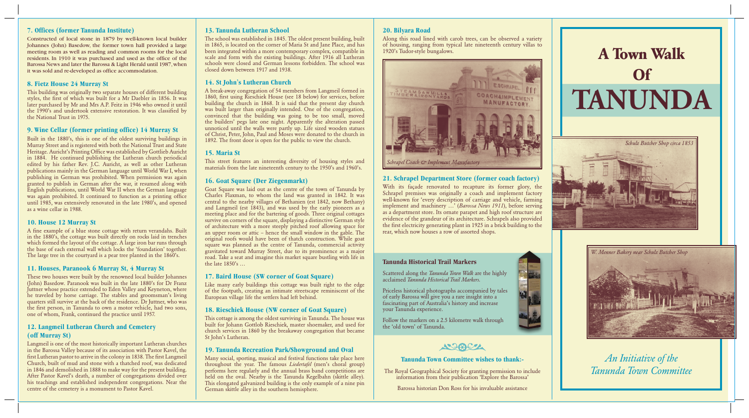# **Tanunda Town Committee wishes to thank:-**

The Royal Geographical Society for granting permission to include information from their publication 'Explore the Barossa'

Barossa historian Don Ross for his invaluable assistance





*W. Menner Bakery near Schulz Butcher Shop*

*An Initiative of the Tanunda Town Committee*



## **7. Offices (former Tanunda Institute)**

Constructed of local stone in 1879 by well-known local builder Johannes (John) Basedow, the former town hall provided a large meeting room as well as reading and common rooms for the local residents. In 1910 it was purchased and used as the office of the Barossa News and later the Barossa & Light Herald until 1987, when it was sold and re-developed as office accommodation.

# **8. Fietz House 24 Murray St**

This building was originally two separate houses of different building styles, the first of which was built for a Mr Daebler in 1856. It was later purchased by Mr and Mrs A.P. Feitz in 1946 who owned it until the 1990's and undertook extensive restoration. It was classified by the National Trust in 1975.

A fine example of a blue stone cottage with return verandahs. Built in the 1880's, the cottage was built directly on rocks laid in trenches which formed the layout of the cottage. A large iron bar runs through the base of each external wall which locks the 'foundation' together. The large tree in the courtyard is a pear tree planted in the 1860's.

# **9. Wine Cellar (former printing office) 14 Murray St**

Built in the 1880's, this is one of the oldest surviving buildings in But the three 1999 steps in the Street and is registered with both the National Trust and State Heritage. Auricht's Printing Office was established by Gottlieb Auricht in 1884. He continued publishing the Lutheran church periodical edited by his father Rev. J.C. Auricht, as well as other Lutheran publications mainly in the German language until World War I, when publishing in German was prohibited. When permission was again granted to publish in German after the war, it resumed along with English publications, until World War II when the German language was again prohibited. It continued to function as a printing office until 1985, was extensively renovated in the late 1980's, and opened as a wine cellar in 1988.

## **10. House 12 Murray St**

## **11. Houses, Paranook 6 Murray St, 4 Murray St**

These two houses were built by the renowned local builder Johannes (John) Basedow. Paranook was built in the late 1880's for Dr Franz Juttner whose practice extended to Eden Valley and Keyneton, where he traveled by horse carriage. The stables and groomsman's living quarters still survive at the back of the residence. Dr Juttner, who was the first person, in Tanunda to own a motor vehicle, had two sons, one of whom, Frank, continued the practice until 1957.

# **12. Langmeil Lutheran Church and Cemetery (off Murray St)**

Langmeil is one of the most historically important Lutheran churches in the Barossa Valley because of its association with Pastor Kavel, the first Lutheran pastor to arrive in the colony in 1838. The first Langmeil Church, built of mud and stone with a thatched roof, was dedicated in 1846 and demolished in 1888 to make way for the present building. After Pastor Kavel's death, a number of congregations divided over his teachings and established independent congregations. Near the centre of the cemetery is a monument to Pastor Kavel.

### **13. Tanunda Lutheran School**

The school was established in 1845. The oldest present building, built in 1865, is located on the corner of Maria St and Jane Place, and has been integrated within a more contemporary complex, compatible in scale and form with the existing buildings. After 1916 all Lutheran schools were closed and German lessons forbidden. The school was closed down between 1917 and 1938.

# **14. St John**'**s Lutheran Church**

A break-away congregation of 54 members from Langmeil formed in 1860, first using Rieschiek House (see 18 below) for services, before building the church in 1868. It is said that the present day church was built larger than originally intended. One of the congregation, convinced that the building was going to be too small, moved the builders' pegs late one night. Apparently the alteration passed unnoticed until the walls were partly up. Life sized wooden statues of Christ, Peter, John, Paul and Moses were donated to the church in 1892. The front door is open for the public to view the church.

## **15. Maria St**

This street features an interesting diversity of housing styles and materials from the late nineteenth century to the 1950's and 1960's.

# **16. Goat Square (Der Ziegenmarkt)**

Goat Square was laid out as the centre of the town of Tanunda by Charles Flaxman, to whom the land was granted in 1842. It was central to the nearby villages of Bethanien (est 1842, now Bethany) and Langmeil (est 1843), and was used by the early pioneers as a meeting place and for the bartering of goods. Three original cottages survive on corners of the square, displaying a distinctive German style of architecture with a more steeply pitched roof allowing space for an upper room or attic – hence the small window in the gable. The original roofs would have been of thatch construction. While goat square was planned as the centre of Tanunda, commercial activity gravitated toward Murray Street, due to its prominence as a major road. Take a seat and imagine this market square bustling with life in the late 1850's …

## **17. Baird House (SW corner of Goat Square)**

Like many early buildings this cottage was built right to the edge of the footpath, creating an intimate streetscape reminiscent of the European village life the settlers had left behind.

# **18. Rieschiek House (NW corner of Goat Square)**

This cottage is among the oldest surviving in Tanunda. The house was built for Johann Gottlob Rieschiek, master shoemaker, and used for church services in 1860 by the breakaway congregation that became St John's Lutheran.

## **19. Tanunda Recreation Park/Showground and Oval**

Many social, sporting, musical and festival functions take place here throughout the year. The famous *Liedertafel* (men's choral group) performs here regularly and the annual brass band competitions are held on the oval. Nearby is the Tanunda Kegelbahn (skittle alley). This elongated galvanized building is the only example of a nine pin German skittle alley in the southern hemisphere.

## **20. Bilyara Road**

Along this road lined with carob trees, can be observed a variety of housing, ranging from typical late nineteenth century villas to 1920's Tudor-style bungalows.

# **21. Schrapel Department Store (former coach factory)**

With its façade renovated to recapture its former glory, the Schrapel premises was originally a coach and implement factory well-known for 'every description of carriage and vehicle, farming implement and machinery …' (*Barossa News 1911*), before serving as a department store. Its ornate parapet and high roof structure are evidence of the grandeur of its architecture. Schrapels also provided the first electricity generating plant in 1925 in a brick building to the rear, which now houses a row of assorted shops.

# **A Town Walk Of TANUNDA**

## **Tanunda Historical Trail Markers**

Scattered along the *Tanunda Town Walk* are the highly acclaimed *Tanunda Historical Trail Markers.*

Priceless historical photographs accompanied by tales of early Barossa will give you a rare insight into a fascinating part of Australia's history and increase your Tanunda experience.

Follow the markers on a 2.5 kilometre walk through the 'old town' of Tanunda.